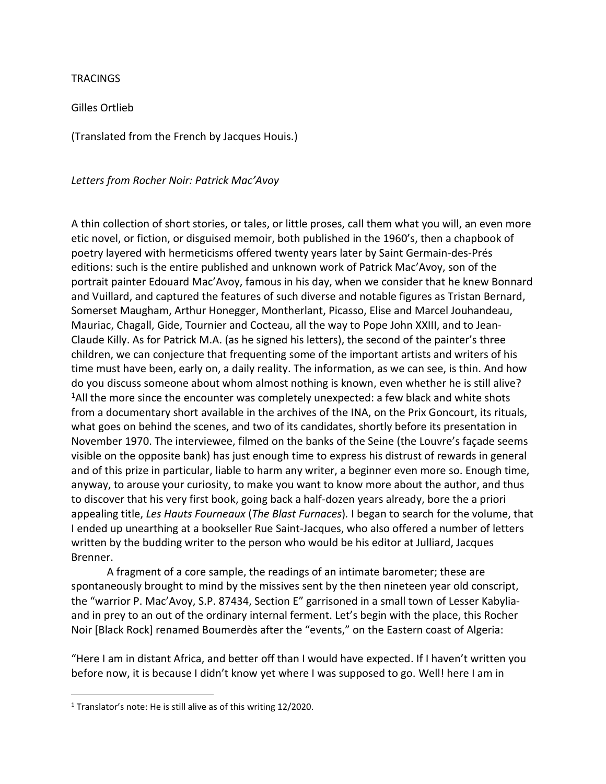## **TRACINGS**

Gilles Ortlieb

(Translated from the French by Jacques Houis.)

*Letters from Rocher Noir: Patrick Mac'Avoy*

A thin collection of short stories, or tales, or little proses, call them what you will, an even more etic novel, or fiction, or disguised memoir, both published in the 1960's, then a chapbook of poetry layered with hermeticisms offered twenty years later by Saint Germain-des-Prés editions: such is the entire published and unknown work of Patrick Mac'Avoy, son of the portrait painter Edouard Mac'Avoy, famous in his day, when we consider that he knew Bonnard and Vuillard, and captured the features of such diverse and notable figures as Tristan Bernard, Somerset Maugham, Arthur Honegger, Montherlant, Picasso, Elise and Marcel Jouhandeau, Mauriac, Chagall, Gide, Tournier and Cocteau, all the way to Pope John XXIII, and to Jean-Claude Killy. As for Patrick M.A. (as he signed his letters), the second of the painter's three children, we can conjecture that frequenting some of the important artists and writers of his time must have been, early on, a daily reality. The information, as we can see, is thin. And how do you discuss someone about whom almost nothing is known, even whether he is still alive? <sup>1</sup>All the more since the encounter was completely unexpected: a few black and white shots from a documentary short available in the archives of the INA, on the Prix Goncourt, its rituals, what goes on behind the scenes, and two of its candidates, shortly before its presentation in November 1970. The interviewee, filmed on the banks of the Seine (the Louvre's façade seems visible on the opposite bank) has just enough time to express his distrust of rewards in general and of this prize in particular, liable to harm any writer, a beginner even more so. Enough time, anyway, to arouse your curiosity, to make you want to know more about the author, and thus to discover that his very first book, going back a half-dozen years already, bore the a priori appealing title, *Les Hauts Fourneaux* (*The Blast Furnaces*)*.* I began to search for the volume, that I ended up unearthing at a bookseller Rue Saint-Jacques, who also offered a number of letters written by the budding writer to the person who would be his editor at Julliard, Jacques Brenner.

A fragment of a core sample, the readings of an intimate barometer; these are spontaneously brought to mind by the missives sent by the then nineteen year old conscript, the "warrior P. Mac'Avoy, S.P. 87434, Section E" garrisoned in a small town of Lesser Kabyliaand in prey to an out of the ordinary internal ferment. Let's begin with the place, this Rocher Noir [Black Rock] renamed Boumerdès after the "events," on the Eastern coast of Algeria:

"Here I am in distant Africa, and better off than I would have expected. If I haven't written you before now, it is because I didn't know yet where I was supposed to go. Well! here I am in

<sup>1</sup> Translator's note: He is still alive as of this writing 12/2020.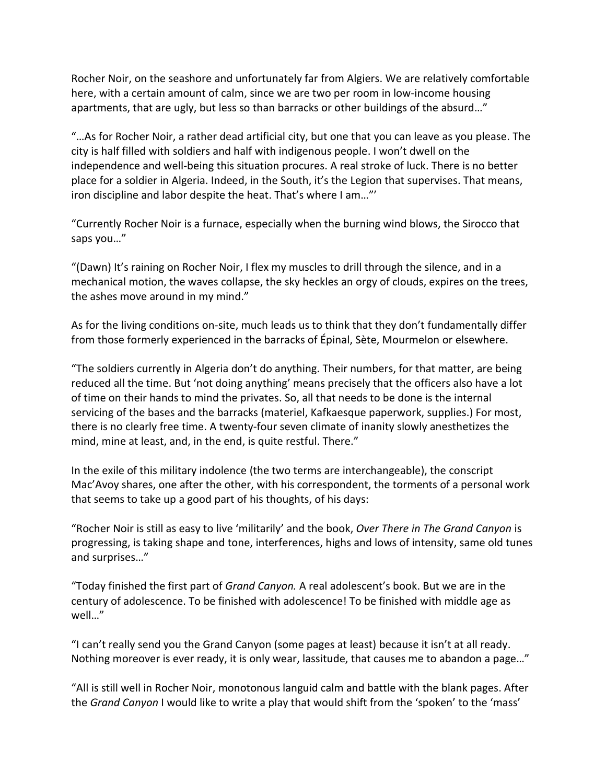Rocher Noir, on the seashore and unfortunately far from Algiers. We are relatively comfortable here, with a certain amount of calm, since we are two per room in low-income housing apartments, that are ugly, but less so than barracks or other buildings of the absurd…"

"…As for Rocher Noir, a rather dead artificial city, but one that you can leave as you please. The city is half filled with soldiers and half with indigenous people. I won't dwell on the independence and well-being this situation procures. A real stroke of luck. There is no better place for a soldier in Algeria. Indeed, in the South, it's the Legion that supervises. That means, iron discipline and labor despite the heat. That's where I am…"'

"Currently Rocher Noir is a furnace, especially when the burning wind blows, the Sirocco that saps you…"

"(Dawn) It's raining on Rocher Noir, I flex my muscles to drill through the silence, and in a mechanical motion, the waves collapse, the sky heckles an orgy of clouds, expires on the trees, the ashes move around in my mind."

As for the living conditions on-site, much leads us to think that they don't fundamentally differ from those formerly experienced in the barracks of Épinal, Sète, Mourmelon or elsewhere.

"The soldiers currently in Algeria don't do anything. Their numbers, for that matter, are being reduced all the time. But 'not doing anything' means precisely that the officers also have a lot of time on their hands to mind the privates. So, all that needs to be done is the internal servicing of the bases and the barracks (materiel, Kafkaesque paperwork, supplies.) For most, there is no clearly free time. A twenty-four seven climate of inanity slowly anesthetizes the mind, mine at least, and, in the end, is quite restful. There."

In the exile of this military indolence (the two terms are interchangeable), the conscript Mac'Avoy shares, one after the other, with his correspondent, the torments of a personal work that seems to take up a good part of his thoughts, of his days:

"Rocher Noir is still as easy to live 'militarily' and the book, *Over There in The Grand Canyon* is progressing, is taking shape and tone, interferences, highs and lows of intensity, same old tunes and surprises…"

"Today finished the first part of *Grand Canyon.* A real adolescent's book. But we are in the century of adolescence. To be finished with adolescence! To be finished with middle age as well…"

"I can't really send you the Grand Canyon (some pages at least) because it isn't at all ready. Nothing moreover is ever ready, it is only wear, lassitude, that causes me to abandon a page…"

"All is still well in Rocher Noir, monotonous languid calm and battle with the blank pages. After the *Grand Canyon* I would like to write a play that would shift from the 'spoken' to the 'mass'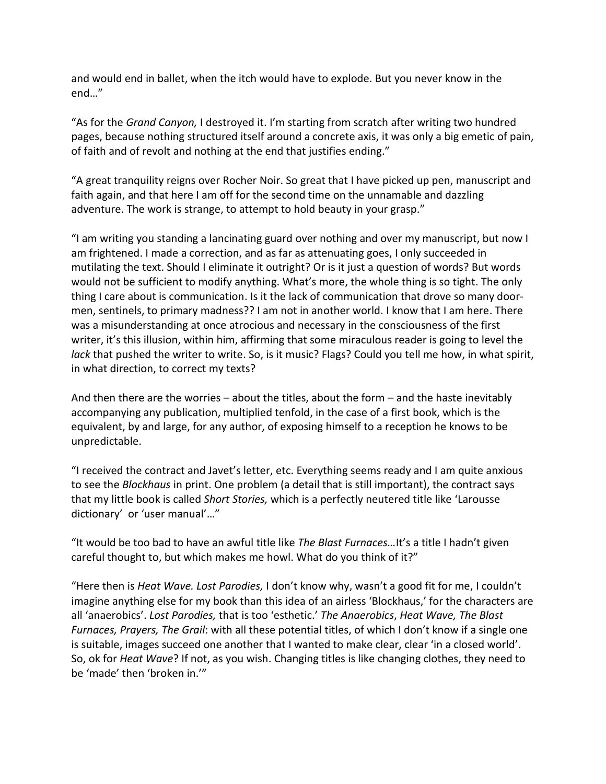and would end in ballet, when the itch would have to explode. But you never know in the end…"

"As for the *Grand Canyon,* I destroyed it. I'm starting from scratch after writing two hundred pages, because nothing structured itself around a concrete axis, it was only a big emetic of pain, of faith and of revolt and nothing at the end that justifies ending."

"A great tranquility reigns over Rocher Noir. So great that I have picked up pen, manuscript and faith again, and that here I am off for the second time on the unnamable and dazzling adventure. The work is strange, to attempt to hold beauty in your grasp."

"I am writing you standing a lancinating guard over nothing and over my manuscript, but now I am frightened. I made a correction, and as far as attenuating goes, I only succeeded in mutilating the text. Should I eliminate it outright? Or is it just a question of words? But words would not be sufficient to modify anything. What's more, the whole thing is so tight. The only thing I care about is communication. Is it the lack of communication that drove so many doormen, sentinels, to primary madness?? I am not in another world. I know that I am here. There was a misunderstanding at once atrocious and necessary in the consciousness of the first writer, it's this illusion, within him, affirming that some miraculous reader is going to level the *lack* that pushed the writer to write. So, is it music? Flags? Could you tell me how, in what spirit, in what direction, to correct my texts?

And then there are the worries – about the titles, about the form – and the haste inevitably accompanying any publication, multiplied tenfold, in the case of a first book, which is the equivalent, by and large, for any author, of exposing himself to a reception he knows to be unpredictable.

"I received the contract and Javet's letter, etc. Everything seems ready and I am quite anxious to see the *Blockhaus* in print. One problem (a detail that is still important), the contract says that my little book is called *Short Stories,* which is a perfectly neutered title like 'Larousse dictionary' or 'user manual'…"

"It would be too bad to have an awful title like *The Blast Furnaces…*It's a title I hadn't given careful thought to, but which makes me howl. What do you think of it?"

"Here then is *Heat Wave. Lost Parodies,* I don't know why, wasn't a good fit for me, I couldn't imagine anything else for my book than this idea of an airless 'Blockhaus,' for the characters are all 'anaerobics'. *Lost Parodies,* that is too 'esthetic.' *The Anaerobics*, *Heat Wave, The Blast Furnaces, Prayers, The Grail*: with all these potential titles, of which I don't know if a single one is suitable, images succeed one another that I wanted to make clear, clear 'in a closed world'. So, ok for *Heat Wave*? If not, as you wish. Changing titles is like changing clothes, they need to be 'made' then 'broken in.'"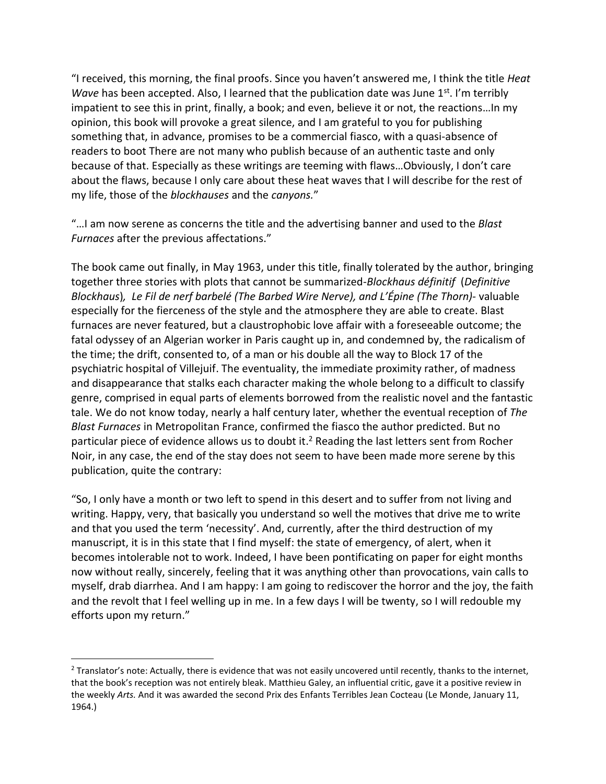"I received, this morning, the final proofs. Since you haven't answered me, I think the title *Heat Wave* has been accepted. Also, I learned that the publication date was June 1<sup>st</sup>. I'm terribly impatient to see this in print, finally, a book; and even, believe it or not, the reactions…In my opinion, this book will provoke a great silence, and I am grateful to you for publishing something that, in advance, promises to be a commercial fiasco, with a quasi-absence of readers to boot There are not many who publish because of an authentic taste and only because of that. Especially as these writings are teeming with flaws…Obviously, I don't care about the flaws, because I only care about these heat waves that I will describe for the rest of my life, those of the *blockhauses* and the *canyons.*"

"…I am now serene as concerns the title and the advertising banner and used to the *Blast Furnaces* after the previous affectations."

The book came out finally, in May 1963, under this title, finally tolerated by the author, bringing together three stories with plots that cannot be summarized-*Blockhaus définitif* (*Definitive Blockhaus*)*, Le Fil de nerf barbelé (The Barbed Wire Nerve), and L'Épine (The Thorn)-* valuable especially for the fierceness of the style and the atmosphere they are able to create. Blast furnaces are never featured, but a claustrophobic love affair with a foreseeable outcome; the fatal odyssey of an Algerian worker in Paris caught up in, and condemned by, the radicalism of the time; the drift, consented to, of a man or his double all the way to Block 17 of the psychiatric hospital of Villejuif. The eventuality, the immediate proximity rather, of madness and disappearance that stalks each character making the whole belong to a difficult to classify genre, comprised in equal parts of elements borrowed from the realistic novel and the fantastic tale. We do not know today, nearly a half century later, whether the eventual reception of *The Blast Furnaces* in Metropolitan France, confirmed the fiasco the author predicted. But no particular piece of evidence allows us to doubt it.<sup>2</sup> Reading the last letters sent from Rocher Noir, in any case, the end of the stay does not seem to have been made more serene by this publication, quite the contrary:

"So, I only have a month or two left to spend in this desert and to suffer from not living and writing. Happy, very, that basically you understand so well the motives that drive me to write and that you used the term 'necessity'. And, currently, after the third destruction of my manuscript, it is in this state that I find myself: the state of emergency, of alert, when it becomes intolerable not to work. Indeed, I have been pontificating on paper for eight months now without really, sincerely, feeling that it was anything other than provocations, vain calls to myself, drab diarrhea. And I am happy: I am going to rediscover the horror and the joy, the faith and the revolt that I feel welling up in me. In a few days I will be twenty, so I will redouble my efforts upon my return."

 $2$  Translator's note: Actually, there is evidence that was not easily uncovered until recently, thanks to the internet, that the book's reception was not entirely bleak. Matthieu Galey, an influential critic, gave it a positive review in the weekly *Arts.* And it was awarded the second Prix des Enfants Terribles Jean Cocteau (Le Monde, January 11, 1964.)